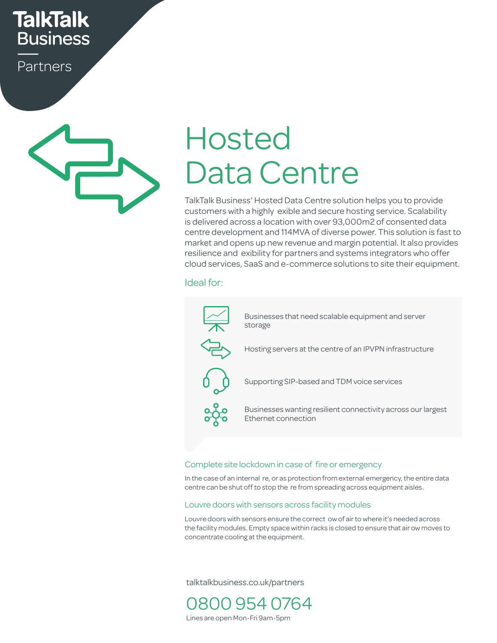## **TalkTalk Business**

Partners



# Hosted Data Centre

TalkTalk Business' Hosted Data Centre solution helps you to provide customers with a highly exible and secure hosting service. Scalability is delivered across a location with over 93,000m2 of consented data centre development and 114MVA of diverse power. This solution is fast to market and opens up new revenue and margin potential. It also provides resilience and exibility for partners and systems integrators who offer cloud services, SaaS and e-commerce solutions to site their equipment.<br>Ideal far:

### Ideal for:



#### lete site lockdown in case of fire or emergency Complete site lockdown in case of fire or emergency

In the case of an internal re, or as protection from external emergency, the entire data centre can be shut off to stop the re from spreading across equipment aisles.

#### Louvre doors with sensors across facility modules

the facility modules. Empty space within racks is closed to ensure that air ow moves to cho radiity modelest Empty space with<br>concentrate cooling at the equipment. Louvre doors with sensors ensure the correct ow of air to where it's needed across

talktalkbusiness.co.uk/partners